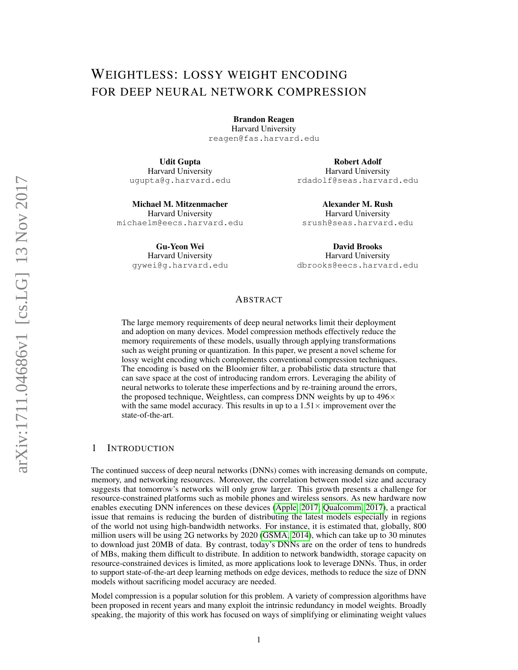# WEIGHTLESS: LOSSY WEIGHT ENCODING FOR DEEP NEURAL NETWORK COMPRESSION

Brandon Reagen Harvard University reagen@fas.harvard.edu

Udit Gupta Harvard University ugupta@g.harvard.edu

Michael M. Mitzenmacher Harvard University michaelm@eecs.harvard.edu

> Gu-Yeon Wei Harvard University gywei@g.harvard.edu

Robert Adolf Harvard University rdadolf@seas.harvard.edu

Alexander M. Rush Harvard University srush@seas.harvard.edu

David Brooks Harvard University dbrooks@eecs.harvard.edu

# ABSTRACT

The large memory requirements of deep neural networks limit their deployment and adoption on many devices. Model compression methods effectively reduce the memory requirements of these models, usually through applying transformations such as weight pruning or quantization. In this paper, we present a novel scheme for lossy weight encoding which complements conventional compression techniques. The encoding is based on the Bloomier filter, a probabilistic data structure that can save space at the cost of introducing random errors. Leveraging the ability of neural networks to tolerate these imperfections and by re-training around the errors, the proposed technique, Weightless, can compress DNN weights by up to  $496\times$ with the same model accuracy. This results in up to a  $1.51\times$  improvement over the state-of-the-art.

### 1 INTRODUCTION

The continued success of deep neural networks (DNNs) comes with increasing demands on compute, memory, and networking resources. Moreover, the correlation between model size and accuracy suggests that tomorrow's networks will only grow larger. This growth presents a challenge for resource-constrained platforms such as mobile phones and wireless sensors. As new hardware now enables executing DNN inferences on these devices [\(Apple, 2017;](#page-8-0) [Qualcomm, 2017\)](#page-9-0), a practical issue that remains is reducing the burden of distributing the latest models especially in regions of the world not using high-bandwidth networks. For instance, it is estimated that, globally, 800 million users will be using 2G networks by 2020 [\(GSMA, 2014\)](#page-8-1), which can take up to 30 minutes to download just 20MB of data. By contrast, today's DNNs are on the order of tens to hundreds of MBs, making them difficult to distribute. In addition to network bandwidth, storage capacity on resource-constrained devices is limited, as more applications look to leverage DNNs. Thus, in order to support state-of-the-art deep learning methods on edge devices, methods to reduce the size of DNN models without sacrificing model accuracy are needed.

Model compression is a popular solution for this problem. A variety of compression algorithms have been proposed in recent years and many exploit the intrinsic redundancy in model weights. Broadly speaking, the majority of this work has focused on ways of simplifying or eliminating weight values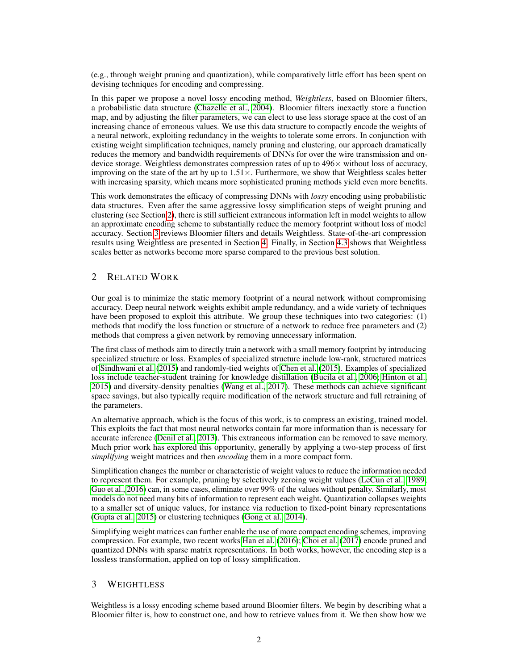(e.g., through weight pruning and quantization), while comparatively little effort has been spent on devising techniques for encoding and compressing.

In this paper we propose a novel lossy encoding method, *Weightless*, based on Bloomier filters, a probabilistic data structure [\(Chazelle et al., 2004\)](#page-8-2). Bloomier filters inexactly store a function map, and by adjusting the filter parameters, we can elect to use less storage space at the cost of an increasing chance of erroneous values. We use this data structure to compactly encode the weights of a neural network, exploiting redundancy in the weights to tolerate some errors. In conjunction with existing weight simplification techniques, namely pruning and clustering, our approach dramatically reduces the memory and bandwidth requirements of DNNs for over the wire transmission and ondevice storage. Weightless demonstrates compression rates of up to  $496\times$  without loss of accuracy, improving on the state of the art by up to  $1.51 \times$ . Furthermore, we show that Weightless scales better with increasing sparsity, which means more sophisticated pruning methods yield even more benefits.

This work demonstrates the efficacy of compressing DNNs with *lossy* encoding using probabilistic data structures. Even after the same aggressive lossy simplification steps of weight pruning and clustering (see Section [2\)](#page-1-0), there is still sufficient extraneous information left in model weights to allow an approximate encoding scheme to substantially reduce the memory footprint without loss of model accuracy. Section [3](#page-1-1) reviews Bloomier filters and details Weightless. State-of-the-art compression results using Weightless are presented in Section [4.](#page-5-0) Finally, in Section [4.3](#page-7-0) shows that Weightless scales better as networks become more sparse compared to the previous best solution.

## <span id="page-1-0"></span>2 RELATED WORK

Our goal is to minimize the static memory footprint of a neural network without compromising accuracy. Deep neural network weights exhibit ample redundancy, and a wide variety of techniques have been proposed to exploit this attribute. We group these techniques into two categories: (1) methods that modify the loss function or structure of a network to reduce free parameters and (2) methods that compress a given network by removing unnecessary information.

The first class of methods aim to directly train a network with a small memory footprint by introducing specialized structure or loss. Examples of specialized structure include low-rank, structured matrices of [Sindhwani et al.](#page-9-1) [\(2015\)](#page-9-1) and randomly-tied weights of [Chen et al.](#page-8-3) [\(2015\)](#page-8-3). Examples of specialized loss include teacher-student training for knowledge distillation [\(Bucila et al., 2006;](#page-8-4) [Hinton et al.,](#page-9-2) [2015\)](#page-9-2) and diversity-density penalties [\(Wang et al., 2017\)](#page-9-3). These methods can achieve significant space savings, but also typically require modification of the network structure and full retraining of the parameters.

An alternative approach, which is the focus of this work, is to compress an existing, trained model. This exploits the fact that most neural networks contain far more information than is necessary for accurate inference [\(Denil et al., 2013\)](#page-8-5). This extraneous information can be removed to save memory. Much prior work has explored this opportunity, generally by applying a two-step process of first *simplifying* weight matrices and then *encoding* them in a more compact form.

Simplification changes the number or characteristic of weight values to reduce the information needed to represent them. For example, pruning by selectively zeroing weight values [\(LeCun et al., 1989;](#page-9-4) [Guo et al., 2016\)](#page-8-6) can, in some cases, eliminate over 99% of the values without penalty. Similarly, most models do not need many bits of information to represent each weight. Quantization collapses weights to a smaller set of unique values, for instance via reduction to fixed-point binary representations [\(Gupta et al., 2015\)](#page-8-7) or clustering techniques [\(Gong et al., 2014\)](#page-8-8).

Simplifying weight matrices can further enable the use of more compact encoding schemes, improving compression. For example, two recent works [Han et al.](#page-9-5) [\(2016\)](#page-9-5); [Choi et al.](#page-8-9) [\(2017\)](#page-8-9) encode pruned and quantized DNNs with sparse matrix representations. In both works, however, the encoding step is a lossless transformation, applied on top of lossy simplification.

### <span id="page-1-1"></span>3 WEIGHTLESS

Weightless is a lossy encoding scheme based around Bloomier filters. We begin by describing what a Bloomier filter is, how to construct one, and how to retrieve values from it. We then show how we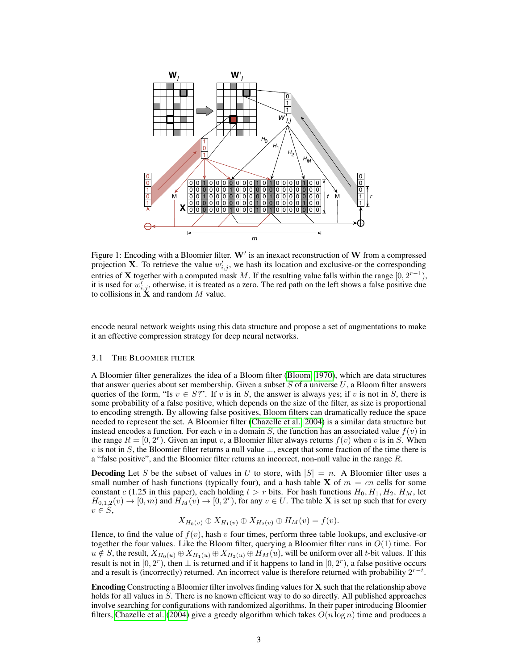<span id="page-2-0"></span>

Figure 1: Encoding with a Bloomier filter.  $W'$  is an inexact reconstruction of  $W$  from a compressed projection **X**. To retrieve the value  $w'_{i,j}$ , we hash its location and exclusive-or the corresponding entries of **X** together with a computed mask M. If the resulting value falls within the range  $[0, 2^{r-1})$ , it is used for  $w_{i,j}^{\bar{j}}$ , otherwise, it is treated as a zero. The red path on the left shows a false positive due to collisions in  $X$  and random  $M$  value.

encode neural network weights using this data structure and propose a set of augmentations to make it an effective compression strategy for deep neural networks.

#### 3.1 THE BLOOMIER FILTER

A Bloomier filter generalizes the idea of a Bloom filter [\(Bloom, 1970\)](#page-8-10), which are data structures that answer queries about set membership. Given a subset  $S$  of a universe  $U$ , a Bloom filter answers queries of the form, "Is  $v \in S$ ?". If v is in S, the answer is always yes; if v is not in S, there is some probability of a false positive, which depends on the size of the filter, as size is proportional to encoding strength. By allowing false positives, Bloom filters can dramatically reduce the space needed to represent the set. A Bloomier filter [\(Chazelle et al., 2004\)](#page-8-2) is a similar data structure but instead encodes a function. For each v in a domain S, the function has an associated value  $f(v)$  in the range  $R = [0, 2^r)$ . Given an input v, a Bloomier filter always returns  $f(v)$  when v is in S. When v is not in S, the Bloomier filter returns a null value  $\perp$ , except that some fraction of the time there is a "false positive", and the Bloomier filter returns an incorrect, non-null value in the range  $R$ .

**Decoding** Let S be the subset of values in U to store, with  $|S| = n$ . A Bloomier filter uses a small number of hash functions (typically four), and a hash table **X** of  $m = cn$  cells for some constant c (1.25 in this paper), each holding  $t > r$  bits. For hash functions  $H_0, H_1, H_2, H_M$ , let  $H_{0,1,2}(v) \to [0,m)$  and  $\hat{H}_M(v) \to [0,2^r)$ , for any  $v \in U$ . The table X is set up such that for every  $v \in S$ ,

$$
X_{H_0(v)} \oplus X_{H_1(v)} \oplus X_{H_2(v)} \oplus H_M(v) = f(v).
$$

Hence, to find the value of  $f(v)$ , hash v four times, perform three table lookups, and exclusive-or together the four values. Like the Bloom filter, querying a Bloomier filter runs in  $O(1)$  time. For  $u \notin S$ , the result,  $X_{H_0(u)} \oplus X_{H_1(u)} \oplus X_{H_2(u)} \oplus H_M(u)$ , will be uniform over all t-bit values. If this result is not in  $[0, 2^r)$ , then  $\perp$  is returned and if it happens to land in  $[0, 2^r)$ , a false positive occurs and a result is (incorrectly) returned. An incorrect value is therefore returned with probability  $2^{r-t}$ .

**Encoding** Constructing a Bloomier filter involves finding values for  $X$  such that the relationship above holds for all values in S. There is no known efficient way to do so directly. All published approaches involve searching for configurations with randomized algorithms. In their paper introducing Bloomier filters, [Chazelle et al.](#page-8-2) [\(2004\)](#page-8-2) give a greedy algorithm which takes  $O(n \log n)$  time and produces a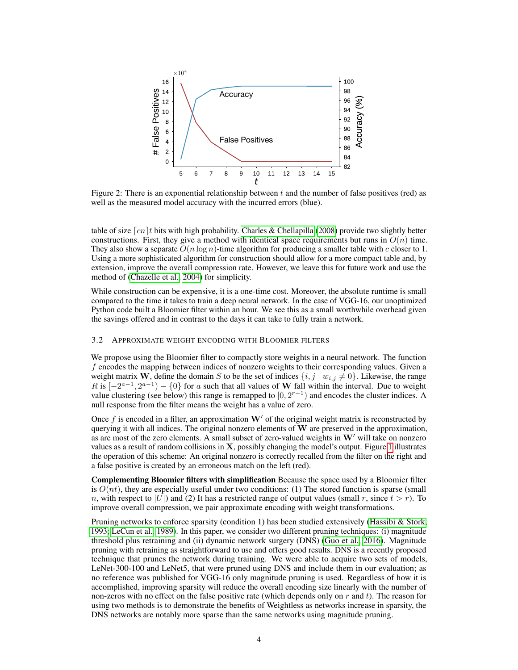<span id="page-3-0"></span>

Figure 2: There is an exponential relationship between  $t$  and the number of false positives (red) as well as the measured model accuracy with the incurred errors (blue).

table of size  $\lceil cn \rceil t$  bits with high probability. [Charles & Chellapilla](#page-8-11) [\(2008\)](#page-8-11) provide two slightly better constructions. First, they give a method with identical space requirements but runs in  $O(n)$  time. They also show a separate  $O(n \log n)$ -time algorithm for producing a smaller table with c closer to 1. Using a more sophisticated algorithm for construction should allow for a more compact table and, by extension, improve the overall compression rate. However, we leave this for future work and use the method of [\(Chazelle et al., 2004\)](#page-8-2) for simplicity.

While construction can be expensive, it is a one-time cost. Moreover, the absolute runtime is small compared to the time it takes to train a deep neural network. In the case of VGG-16, our unoptimized Python code built a Bloomier filter within an hour. We see this as a small worthwhile overhead given the savings offered and in contrast to the days it can take to fully train a network.

### <span id="page-3-1"></span>3.2 APPROXIMATE WEIGHT ENCODING WITH BLOOMIER FILTERS

We propose using the Bloomier filter to compactly store weights in a neural network. The function f encodes the mapping between indices of nonzero weights to their corresponding values. Given a weight matrix W, define the domain S to be the set of indices  $\{i, j \mid w_{i,j} \neq 0\}$ . Likewise, the range R is  $[-2^{a-1}, 2^{a-1}) - \{0\}$  for a such that all values of W fall within the interval. Due to weight value clustering (see below) this range is remapped to  $[0, 2^{r-1})$  and encodes the cluster indices. A null response from the filter means the weight has a value of zero.

Once f is encoded in a filter, an approximation  $W'$  of the original weight matrix is reconstructed by querying it with all indices. The original nonzero elements of W are preserved in the approximation, as are most of the zero elements. A small subset of zero-valued weights in  $W'$  will take on nonzero values as a result of random collisions in  $X$ , possibly changing the model's output. Figure [1](#page-2-0) illustrates the operation of this scheme: An original nonzero is correctly recalled from the filter on the right and a false positive is created by an erroneous match on the left (red).

Complementing Bloomier filters with simplification Because the space used by a Bloomier filter is  $O(nt)$ , they are especially useful under two conditions: (1) The stored function is sparse (small n, with respect to  $|U|$  and (2) It has a restricted range of output values (small r, since  $t > r$ ). To improve overall compression, we pair approximate encoding with weight transformations.

Pruning networks to enforce sparsity (condition 1) has been studied extensively [\(Hassibi & Stork,](#page-9-6) [1993;](#page-9-6) [LeCun et al., 1989\)](#page-9-4). In this paper, we consider two different pruning techniques: (i) magnitude threshold plus retraining and (ii) dynamic network surgery (DNS) [\(Guo et al., 2016\)](#page-8-6). Magnitude pruning with retraining as straightforward to use and offers good results. DNS is a recently proposed technique that prunes the network during training. We were able to acquire two sets of models, LeNet-300-100 and LeNet5, that were pruned using DNS and include them in our evaluation; as no reference was published for VGG-16 only magnitude pruning is used. Regardless of how it is accomplished, improving sparsity will reduce the overall encoding size linearly with the number of non-zeros with no effect on the false positive rate (which depends only on  $r$  and  $t$ ). The reason for using two methods is to demonstrate the benefits of Weightless as networks increase in sparsity, the DNS networks are notably more sparse than the same networks using magnitude pruning.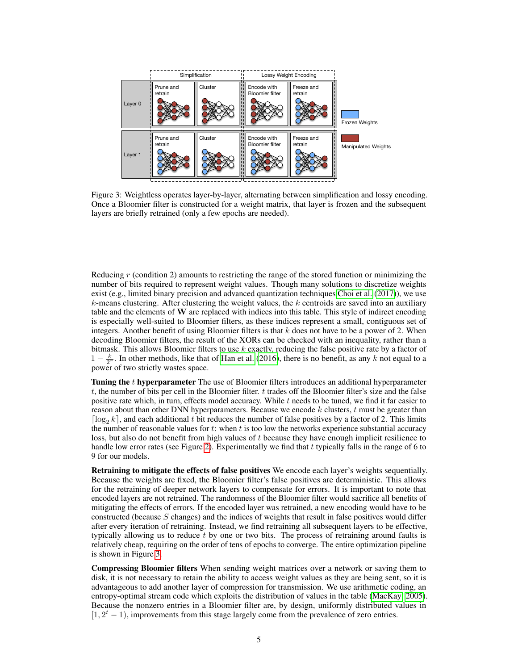<span id="page-4-0"></span>

Figure 3: Weightless operates layer-by-layer, alternating between simplification and lossy encoding. Once a Bloomier filter is constructed for a weight matrix, that layer is frozen and the subsequent layers are briefly retrained (only a few epochs are needed).

Reducing  $r$  (condition 2) amounts to restricting the range of the stored function or minimizing the number of bits required to represent weight values. Though many solutions to discretize weights exist (e.g., limited binary precision and advanced quantization techniques [Choi et al.](#page-8-9) [\(2017\)](#page-8-9)), we use  $k$ -means clustering. After clustering the weight values, the  $k$  centroids are saved into an auxiliary table and the elements of  $W$  are replaced with indices into this table. This style of indirect encoding is especially well-suited to Bloomier filters, as these indices represent a small, contiguous set of integers. Another benefit of using Bloomier filters is that  $k$  does not have to be a power of 2. When decoding Bloomier filters, the result of the XORs can be checked with an inequality, rather than a bitmask. This allows Bloomier filters to use  $k$  exactly, reducing the false positive rate by a factor of  $1 - \frac{k}{2^r}$ . In other methods, like that of [Han et al.](#page-9-5) [\(2016\)](#page-9-5), there is no benefit, as any k not equal to a power of two strictly wastes space.

Tuning the t hyperparameter The use of Bloomier filters introduces an additional hyperparameter t, the number of bits per cell in the Bloomier filter. t trades off the Bloomier filter's size and the false positive rate which, in turn, effects model accuracy. While t needs to be tuned, we find it far easier to reason about than other DNN hyperparameters. Because we encode  $k$  clusters,  $t$  must be greater than  $\lceil \log_2 k \rceil$ , and each additional t bit reduces the number of false positives by a factor of 2. This limits the number of reasonable values for  $t$ : when  $t$  is too low the networks experience substantial accuracy loss, but also do not benefit from high values of t because they have enough implicit resilience to handle low error rates (see Figure [2\)](#page-3-0). Experimentally we find that  $t$  typically falls in the range of 6 to 9 for our models.

Retraining to mitigate the effects of false positives We encode each layer's weights sequentially. Because the weights are fixed, the Bloomier filter's false positives are deterministic. This allows for the retraining of deeper network layers to compensate for errors. It is important to note that encoded layers are not retrained. The randomness of the Bloomier filter would sacrifice all benefits of mitigating the effects of errors. If the encoded layer was retrained, a new encoding would have to be constructed (because S changes) and the indices of weights that result in false positives would differ after every iteration of retraining. Instead, we find retraining all subsequent layers to be effective, typically allowing us to reduce  $t$  by one or two bits. The process of retraining around faults is relatively cheap, requiring on the order of tens of epochs to converge. The entire optimization pipeline is shown in Figure [3.](#page-4-0)

Compressing Bloomier filters When sending weight matrices over a network or saving them to disk, it is not necessary to retain the ability to access weight values as they are being sent, so it is advantageous to add another layer of compression for transmission. We use arithmetic coding, an entropy-optimal stream code which exploits the distribution of values in the table [\(MacKay, 2005\)](#page-9-7). Because the nonzero entries in a Bloomier filter are, by design, uniformly distributed values in  $[1, 2<sup>t</sup> - 1)$ , improvements from this stage largely come from the prevalence of zero entries.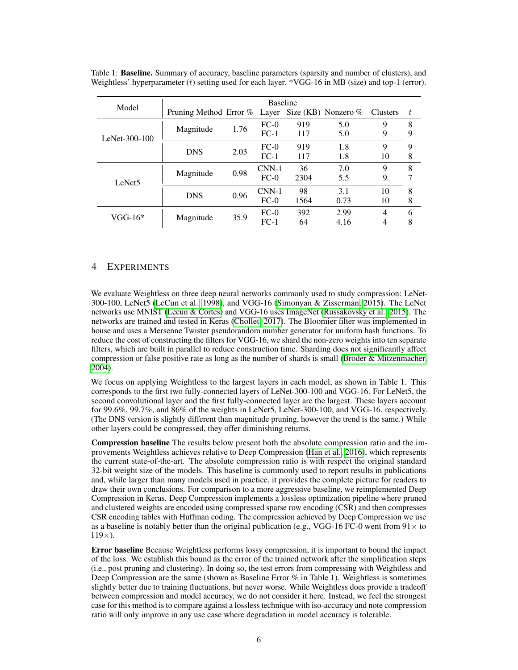| Model              | <b>Baseline</b>              |      |         |      |                     |                |   |
|--------------------|------------------------------|------|---------|------|---------------------|----------------|---|
|                    | Pruning Method Error % Layer |      |         |      | Size (KB) Nonzero % | Clusters       | t |
| LeNet- $300-100$   | Magnitude                    | 1.76 | $FC-0$  | 919  | 5.0                 | 9              | 8 |
|                    |                              |      | $FC-1$  | 117  | 5.0                 | 9              | 9 |
|                    | <b>DNS</b>                   | 2.03 | $FC-0$  | 919  | 1.8                 | 9              | 9 |
|                    |                              |      | $FC-1$  | 117  | 1.8                 | 10             | 8 |
| LeNet <sub>5</sub> | Magnitude                    | 0.98 | $CNN-1$ | 36   | 7.0                 | 9              | 8 |
|                    |                              |      | $FC-0$  | 2304 | 5.5                 | 9              | 7 |
|                    | <b>DNS</b>                   | 0.96 | $CNN-1$ | 98   | 3.1                 | 10             | 8 |
|                    |                              |      | $FC-0$  | 1564 | 0.73                | 10             | 8 |
| $VGG-16*$          | Magnitude                    | 35.9 | $FC-0$  | 392  | 2.99                | $\overline{4}$ | 6 |
|                    |                              |      | $FC-1$  | 64   | 4.16                | 4              | 8 |

Table 1: **Baseline.** Summary of accuracy, baseline parameters (sparsity and number of clusters), and Weightless' hyperparameter (*t*) setting used for each layer. \*VGG-16 in MB (size) and top-1 (error).

# <span id="page-5-0"></span>4 EXPERIMENTS

We evaluate Weightless on three deep neural networks commonly used to study compression: LeNet-300-100, LeNet5 [\(LeCun et al., 1998\)](#page-9-8), and VGG-16 [\(Simonyan & Zisserman, 2015\)](#page-9-9). The LeNet networks use MNIST [\(Lecun & Cortes\)](#page-9-10) and VGG-16 uses ImageNet [\(Russakovsky et al., 2015\)](#page-9-11). The networks are trained and tested in Keras [\(Chollet, 2017\)](#page-8-12). The Bloomier filter was implemented in house and uses a Mersenne Twister pseudorandom number generator for uniform hash functions. To reduce the cost of constructing the filters for VGG-16, we shard the non-zero weights into ten separate filters, which are built in parallel to reduce construction time. Sharding does not significantly affect compression or false positive rate as long as the number of shards is small (Broder  $\&$  Mitzenmacher, [2004\)](#page-8-13).

We focus on applying Weightless to the largest layers in each model, as shown in Table 1. This corresponds to the first two fully-connected layers of LeNet-300-100 and VGG-16. For LeNet5, the second convolutional layer and the first fully-connected layer are the largest. These layers account for 99.6%, 99.7%, and 86% of the weights in LeNet5, LeNet-300-100, and VGG-16, respectively. (The DNS version is slightly different than magnitude pruning, however the trend is the same.) While other layers could be compressed, they offer diminishing returns.

Compression baseline The results below present both the absolute compression ratio and the improvements Weightless achieves relative to Deep Compression [\(Han et al., 2016\)](#page-9-5), which represents the current state-of-the-art. The absolute compression ratio is with respect the original standard 32-bit weight size of the models. This baseline is commonly used to report results in publications and, while larger than many models used in practice, it provides the complete picture for readers to draw their own conclusions. For comparison to a more aggressive baseline, we reimplemented Deep Compression in Keras. Deep Compression implements a lossless optimization pipeline where pruned and clustered weights are encoded using compressed sparse row encoding (CSR) and then compresses CSR encoding tables with Huffman coding. The compression achieved by Deep Compression we use as a baseline is notably better than the original publication (e.g., VGG-16 FC-0 went from  $91 \times$  to  $119\times$ ).

Error baseline Because Weightless performs lossy compression, it is important to bound the impact of the loss. We establish this bound as the error of the trained network after the simplification steps (i.e., post pruning and clustering). In doing so, the test errors from compressing with Weightless and Deep Compression are the same (shown as Baseline Error % in Table 1). Weightless is sometimes slightly better due to training fluctuations, but never worse. While Weightless does provide a tradeoff between compression and model accuracy, we do not consider it here. Instead, we feel the strongest case for this method is to compare against a lossless technique with iso-accuracy and note compression ratio will only improve in any use case where degradation in model accuracy is tolerable.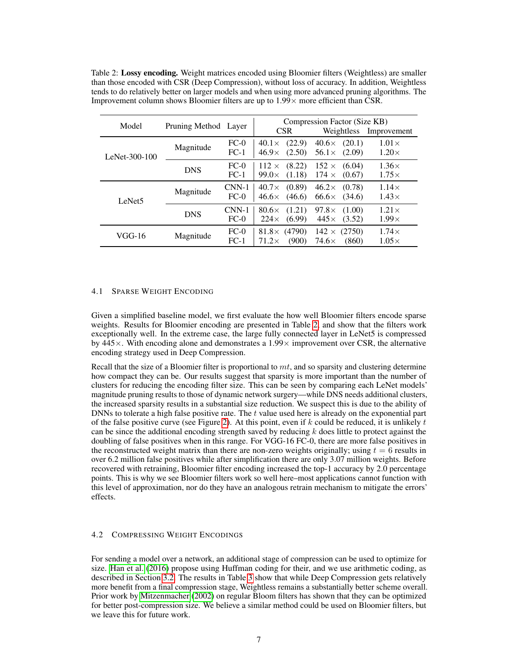| Model              | Pruning Method Layer |                   | <b>CSR</b>                                       | Compression Factor (Size KB)<br>Weightless<br>Improvement |                              |
|--------------------|----------------------|-------------------|--------------------------------------------------|-----------------------------------------------------------|------------------------------|
| LeNet- $300-100$   | Magnitude            | $FC-0$<br>$FC-1$  | (22.9)<br>$40.1\times$<br>$46.9\times$<br>(2.50) | $40.6\times$<br>(20.1)<br>$56.1\times$<br>(2.09)          | $1.01\times$<br>$1.20\times$ |
|                    | <b>DNS</b>           | $FC-0$<br>$FC-1$  | (8.22)<br>$112 \times$<br>(1.18)<br>$99.0\times$ | $152 \times$<br>(6.04)<br>$174 \times$<br>(0.67)          | $1.36\times$<br>$1.75\times$ |
| LeNet <sub>5</sub> | Magnitude            | $CNN-1$<br>$FC-0$ | (0.89)<br>$40.7\times$<br>(46.6)<br>$46.6\times$ | $46.2\times$<br>(0.78)<br>$66.6\times$<br>(34.6)          | $1.14\times$<br>$1.43\times$ |
|                    | <b>DNS</b>           | $CNN-1$<br>$FC-0$ | (1.21)<br>$80.6\times$<br>$224\times$<br>(6.99)  | $97.8\times$<br>(1.00)<br>$445\times$<br>(3.52)           | $1.21\times$<br>$1.99\times$ |
| VGG-16             | Magnitude            | $FC-0$<br>$FC-1$  | $81.8\times(4790)$<br>$71.2\times$<br>(900)      | $142 \times$<br>(2750)<br>$74.6\times$<br>(860)           | $1.74\times$<br>$1.05\times$ |

<span id="page-6-0"></span>Table 2: Lossy encoding. Weight matrices encoded using Bloomier filters (Weightless) are smaller than those encoded with CSR (Deep Compression), without loss of accuracy. In addition, Weightless tends to do relatively better on larger models and when using more advanced pruning algorithms. The Improvement column shows Bloomier filters are up to  $1.99 \times$  more efficient than CSR.

#### 4.1 SPARSE WEIGHT ENCODING

Given a simplified baseline model, we first evaluate the how well Bloomier filters encode sparse weights. Results for Bloomier encoding are presented in Table [2,](#page-6-0) and show that the filters work exceptionally well. In the extreme case, the large fully connected layer in LeNet5 is compressed by  $445\times$ . With encoding alone and demonstrates a  $1.99\times$  improvement over CSR, the alternative encoding strategy used in Deep Compression.

Recall that the size of a Bloomier filter is proportional to  $mt$ , and so sparsity and clustering determine how compact they can be. Our results suggest that sparsity is more important than the number of clusters for reducing the encoding filter size. This can be seen by comparing each LeNet models' magnitude pruning results to those of dynamic network surgery—while DNS needs additional clusters, the increased sparsity results in a substantial size reduction. We suspect this is due to the ability of DNNs to tolerate a high false positive rate. The t value used here is already on the exponential part of the false positive curve (see Figure [2\)](#page-3-0). At this point, even if  $k$  could be reduced, it is unlikely  $t$ can be since the additional encoding strength saved by reducing  $k$  does little to protect against the doubling of false positives when in this range. For VGG-16 FC-0, there are more false positives in the reconstructed weight matrix than there are non-zero weights originally; using  $t = 6$  results in over 6.2 million false positives while after simplification there are only 3.07 million weights. Before recovered with retraining, Bloomier filter encoding increased the top-1 accuracy by 2.0 percentage points. This is why we see Bloomier filters work so well here–most applications cannot function with this level of approximation, nor do they have an analogous retrain mechanism to mitigate the errors' effects.

### 4.2 COMPRESSING WEIGHT ENCODINGS

For sending a model over a network, an additional stage of compression can be used to optimize for size. [Han et al.](#page-9-5) [\(2016\)](#page-9-5) propose using Huffman coding for their, and we use arithmetic coding, as described in Section [3.2.](#page-3-1) The results in Table [3](#page-7-1) show that while Deep Compression gets relatively more benefit from a final compression stage, Weightless remains a substantially better scheme overall. Prior work by [Mitzenmacher](#page-9-12) [\(2002\)](#page-9-12) on regular Bloom filters has shown that they can be optimized for better post-compression size. We believe a similar method could be used on Bloomier filters, but we leave this for future work.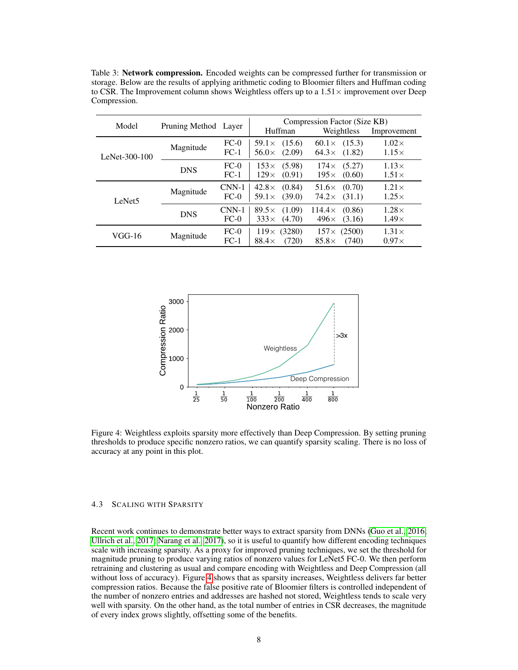| Model              | Pruning Method Layer |                   | Huffman                                          | Compression Factor (Size KB)<br>Weightless       | Improvement                  |
|--------------------|----------------------|-------------------|--------------------------------------------------|--------------------------------------------------|------------------------------|
| LeNet- $300-100$   | Magnitude            | $FC-0$<br>$FC-1$  | $59.1\times$<br>(15.6)<br>$56.0\times$<br>(2.09) | $60.1 \times (15.3)$<br>$64.3\times$<br>(1.82)   | $1.02\times$<br>$1.15\times$ |
|                    | <b>DNS</b>           | $FC-0$<br>$FC-1$  | $153\times$<br>(5.98)<br>$129\times$<br>(0.91)   | (5.27)<br>$174\times$<br>$195\times$<br>(0.60)   | $1.13\times$<br>$1.51\times$ |
| LeNet <sub>5</sub> | Magnitude            | $CNN-1$<br>$FC-0$ | (0.84)<br>$42.8\times$<br>$59.1\times$<br>(39.0) | (0.70)<br>$51.6\times$<br>(31.1)<br>$74.2\times$ | $1.21\times$<br>$1.25\times$ |
|                    | <b>DNS</b>           | $CNN-1$<br>$FC-0$ | (1.09)<br>$89.5\times$<br>$333\times$<br>(4.70)  | $114.4\times$<br>(0.86)<br>$496\times$<br>(3.16) | $1.28\times$<br>$1.49\times$ |
| VGG-16             | Magnitude            | $FC-0$<br>$FC-1$  | (3280)<br>$119\times$<br>$88.4\times$<br>(720)   | $157 \times (2500)$<br>$85.8\times$<br>(740)     | $1.31\times$<br>$0.97\times$ |

<span id="page-7-1"></span>Table 3: Network compression. Encoded weights can be compressed further for transmission or storage. Below are the results of applying arithmetic coding to Bloomier filters and Huffman coding to CSR. The Improvement column shows Weightless offers up to a  $1.51 \times$  improvement over Deep Compression.

<span id="page-7-2"></span>

Figure 4: Weightless exploits sparsity more effectively than Deep Compression. By setting pruning thresholds to produce specific nonzero ratios, we can quantify sparsity scaling. There is no loss of accuracy at any point in this plot.

#### <span id="page-7-0"></span>4.3 SCALING WITH SPARSITY

Recent work continues to demonstrate better ways to extract sparsity from DNNs [\(Guo et al., 2016;](#page-8-6) [Ullrich et al., 2017;](#page-9-13) [Narang et al., 2017\)](#page-9-14), so it is useful to quantify how different encoding techniques scale with increasing sparsity. As a proxy for improved pruning techniques, we set the threshold for magnitude pruning to produce varying ratios of nonzero values for LeNet5 FC-0. We then perform retraining and clustering as usual and compare encoding with Weightless and Deep Compression (all without loss of accuracy). Figure [4](#page-7-2) shows that as sparsity increases, Weightless delivers far better compression ratios. Because the false positive rate of Bloomier filters is controlled independent of the number of nonzero entries and addresses are hashed not stored, Weightless tends to scale very well with sparsity. On the other hand, as the total number of entries in CSR decreases, the magnitude of every index grows slightly, offsetting some of the benefits.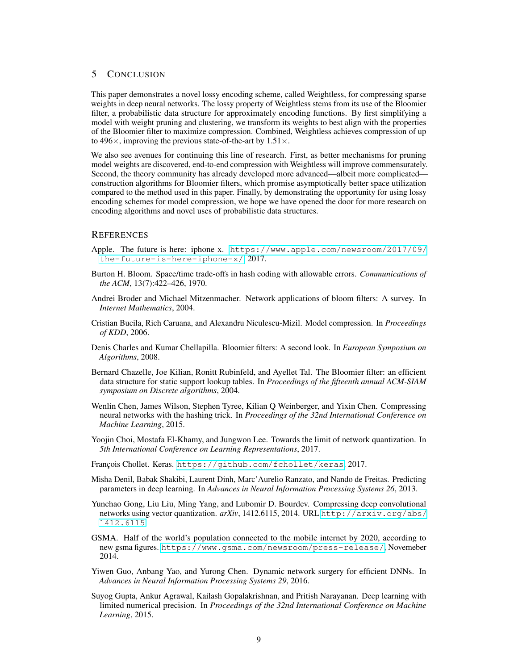### 5 CONCLUSION

This paper demonstrates a novel lossy encoding scheme, called Weightless, for compressing sparse weights in deep neural networks. The lossy property of Weightless stems from its use of the Bloomier filter, a probabilistic data structure for approximately encoding functions. By first simplifying a model with weight pruning and clustering, we transform its weights to best align with the properties of the Bloomier filter to maximize compression. Combined, Weightless achieves compression of up to 496 $\times$ , improving the previous state-of-the-art by 1.51 $\times$ .

We also see avenues for continuing this line of research. First, as better mechanisms for pruning model weights are discovered, end-to-end compression with Weightless will improve commensurately. Second, the theory community has already developed more advanced—albeit more complicated construction algorithms for Bloomier filters, which promise asymptotically better space utilization compared to the method used in this paper. Finally, by demonstrating the opportunity for using lossy encoding schemes for model compression, we hope we have opened the door for more research on encoding algorithms and novel uses of probabilistic data structures.

### **REFERENCES**

- <span id="page-8-0"></span>Apple. The future is here: iphone x. [https://www.apple.com/newsroom/2017/09/](https://www.apple.com/newsroom/2017/09/the-future-is-here-iphone-x/) [the-future-is-here-iphone-x/](https://www.apple.com/newsroom/2017/09/the-future-is-here-iphone-x/), 2017.
- <span id="page-8-10"></span>Burton H. Bloom. Space/time trade-offs in hash coding with allowable errors. *Communications of the ACM*, 13(7):422–426, 1970.
- <span id="page-8-13"></span>Andrei Broder and Michael Mitzenmacher. Network applications of bloom filters: A survey. In *Internet Mathematics*, 2004.
- <span id="page-8-4"></span>Cristian Bucila, Rich Caruana, and Alexandru Niculescu-Mizil. Model compression. In *Proceedings of KDD*, 2006.
- <span id="page-8-11"></span>Denis Charles and Kumar Chellapilla. Bloomier filters: A second look. In *European Symposium on Algorithms*, 2008.
- <span id="page-8-2"></span>Bernard Chazelle, Joe Kilian, Ronitt Rubinfeld, and Ayellet Tal. The Bloomier filter: an efficient data structure for static support lookup tables. In *Proceedings of the fifteenth annual ACM-SIAM symposium on Discrete algorithms*, 2004.
- <span id="page-8-3"></span>Wenlin Chen, James Wilson, Stephen Tyree, Kilian Q Weinberger, and Yixin Chen. Compressing neural networks with the hashing trick. In *Proceedings of the 32nd International Conference on Machine Learning*, 2015.
- <span id="page-8-9"></span>Yoojin Choi, Mostafa El-Khamy, and Jungwon Lee. Towards the limit of network quantization. In *5th International Conference on Learning Representations*, 2017.
- <span id="page-8-12"></span>François Chollet. Keras. <https://github.com/fchollet/keras>, 2017.
- <span id="page-8-5"></span>Misha Denil, Babak Shakibi, Laurent Dinh, Marc'Aurelio Ranzato, and Nando de Freitas. Predicting parameters in deep learning. In *Advances in Neural Information Processing Systems 26*, 2013.
- <span id="page-8-8"></span>Yunchao Gong, Liu Liu, Ming Yang, and Lubomir D. Bourdev. Compressing deep convolutional networks using vector quantization.  $arXiv$ , 1412.6115, 2014. URL [http://arxiv.org/abs/](http://arxiv.org/abs/1412.6115) [1412.6115](http://arxiv.org/abs/1412.6115).
- <span id="page-8-1"></span>GSMA. Half of the world's population connected to the mobile internet by 2020, according to new gsma figures. <https://www.gsma.com/newsroom/press-release/>, Novemeber 2014.
- <span id="page-8-6"></span>Yiwen Guo, Anbang Yao, and Yurong Chen. Dynamic network surgery for efficient DNNs. In *Advances in Neural Information Processing Systems 29*, 2016.
- <span id="page-8-7"></span>Suyog Gupta, Ankur Agrawal, Kailash Gopalakrishnan, and Pritish Narayanan. Deep learning with limited numerical precision. In *Proceedings of the 32nd International Conference on Machine Learning*, 2015.